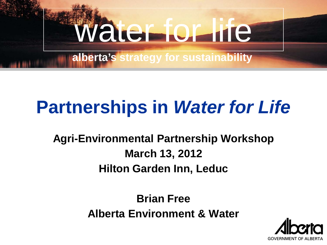

**alberta's strategy for sustainability**

### **Partnerships in** *Water for Life*

#### **Agri-Environmental Partnership Workshop March 13, 2012 Hilton Garden Inn, Leduc**

**Brian Free Alberta Environment & Water**

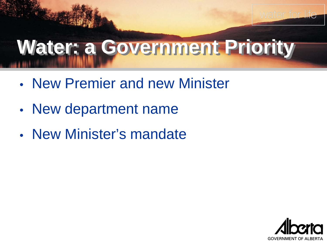### **Water: a Government Priority**

- New Premier and new Minister
- New department name
- New Minister's mandate



water for life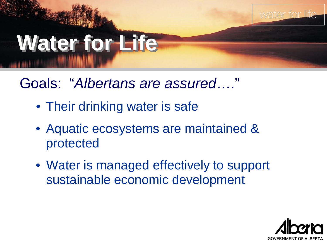

Goals: "*Albertans are assured*…."

- Their drinking water is safe
- Aquatic ecosystems are maintained & protected
- Water is managed effectively to support sustainable economic development

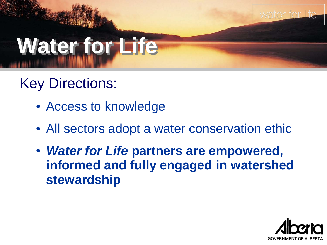

## **Water for Life**

#### Key Directions:

- Access to knowledge
- All sectors adopt a water conservation ethic
- *Water for Life* **partners are empowered, informed and fully engaged in watershed stewardship**

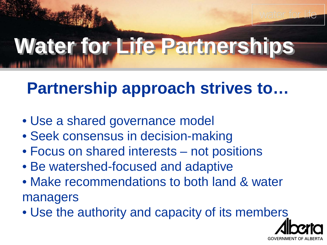

## **Water for Life Partnerships**

### **Partnership approach strives to…**

- Use a shared governance model
- Seek consensus in decision-making
- Focus on shared interests not positions
- Be watershed-focused and adaptive
- Make recommendations to both land & water managers
- Use the authority and capacity of its members

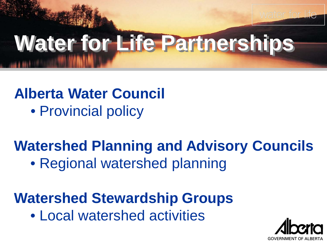

## **Water for Life Partnerships**

### **Alberta Water Council**

• Provincial policy

#### **Watershed Planning and Advisory Councils**

• Regional watershed planning

#### **Watershed Stewardship Groups**

• Local watershed activities

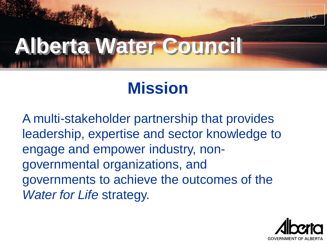

### **Alberta Water Council**

#### **Mission**

A multi-stakeholder partnership that provides leadership, expertise and sector knowledge to engage and empower industry, nongovernmental organizations, and governments to achieve the outcomes of the *Water for Life* strategy.

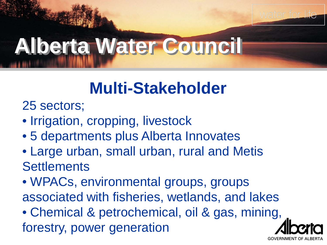

### **Alberta Water Council**

### **Multi-Stakeholder**

25 sectors;

- Irrigation, cropping, livestock
- 5 departments plus Alberta Innovates
- Large urban, small urban, rural and Metis **Settlements**
- WPACs, environmental groups, groups associated with fisheries, wetlands, and lakes

• Chemical & petrochemical, oil & gas, mining, forestry, power generation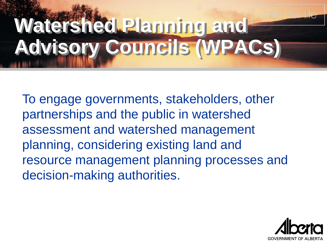### **Watershed Planning and Advisory Councils (WPACs)**

To engage governments, stakeholders, other partnerships and the public in watershed assessment and watershed management planning, considering existing land and resource management planning processes and decision-making authorities.

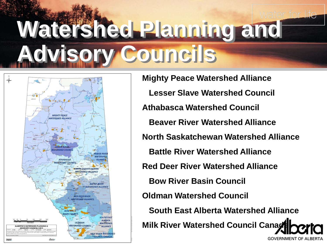## **Watershed Planning and Advisory Councils**



**Mighty Peace Watershed Alliance Lesser Slave Watershed Council Athabasca Watershed Council Beaver River Watershed Alliance North Saskatchewan Watershed Alliance Battle River Watershed Alliance Red Deer River Watershed Alliance Bow River Basin Council Oldman Watershed Council South East Alberta Watershed Alliance Milk River Watershed Council Canag** 

**GOVERNMENT OF ALBERTA**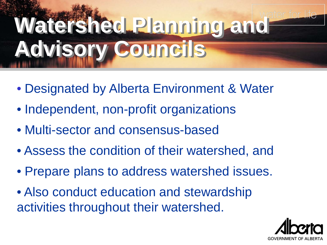## **Watershed Planning and Advisory Councils**

- Designated by Alberta Environment & Water
- Independent, non-profit organizations
- Multi-sector and consensus-based
- Assess the condition of their watershed, and
- Prepare plans to address watershed issues.
- Also conduct education and stewardship activities throughout their watershed.

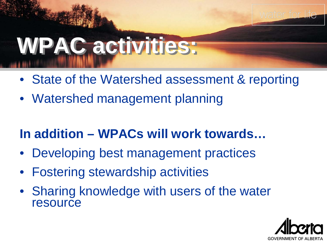

# **WPAC activities:**

- State of the Watershed assessment & reporting
- Watershed management planning

#### **In addition – WPACs will work towards…**

- Developing best management practices
- Fostering stewardship activities
- Sharing knowledge with users of the water resource

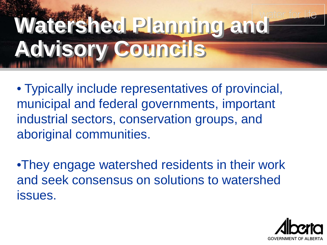## **Watershed Planning and Advisory Councils**

• Typically include representatives of provincial, municipal and federal governments, important industrial sectors, conservation groups, and aboriginal communities.

•They engage watershed residents in their work and seek consensus on solutions to watershed issues.

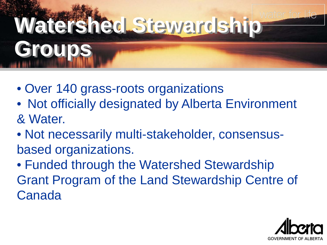# **Watershed Stewardship Groups**

- Over 140 grass-roots organizations
- Not officially designated by Alberta Environment & Water.
- Not necessarily multi-stakeholder, consensusbased organizations.
- Funded through the Watershed Stewardship Grant Program of the Land Stewardship Centre of Canada

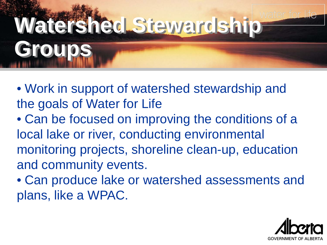# **Watershed Stewardship Groups**

- Work in support of watershed stewardship and the goals of Water for Life
- Can be focused on improving the conditions of a local lake or river, conducting environmental monitoring projects, shoreline clean-up, education and community events.
- Can produce lake or watershed assessments and plans, like a WPAC.

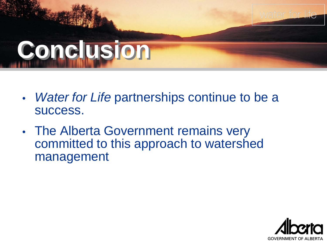## **Conclusion**

- *Water for Life* partnerships continue to be a success.
- The Alberta Government remains very committed to this approach to watershed management



water fo